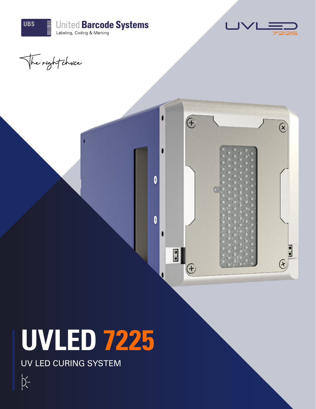



The right choice



# **UVLED 7225**

UV LED CURING SYSTEM

 $\overline{X}$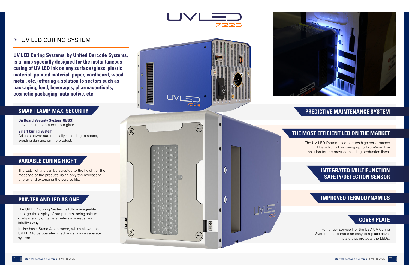**On Board Security System (OBSS)** prevents line operators from glare.

## **Smart Curing System**

Adjusts power automatically according to speed, avoiding damage on the product.

## **SMART LAMP, MAX. SECURITY**

The LED lighting can be adjusted to the height of the message or the product, using only the necessary energy and extending the service life.

# **VARIABLE CURING HIGHT**





### 卜 UV LED CURING SYSTEM

The UV LED Curing System is fully manageable through the display of our printers, being able to configure any of its parameters in a visual and intuitive way.

It also has a Stand Alone mode, which allows the UV LED to be operated mechanically as a separate system.

**UV LED Curing Systems, by United Barcode Systems, is a lamp specially designed for the instantaneous curing of UV LED ink on any surface (glass, plastic material, painted material, paper, cardboard, wood, metal, etc.) offering a solution to sectors such as packaging, food, beverages, pharmaceuticals, cosmetic packaging, automotive, etc.**